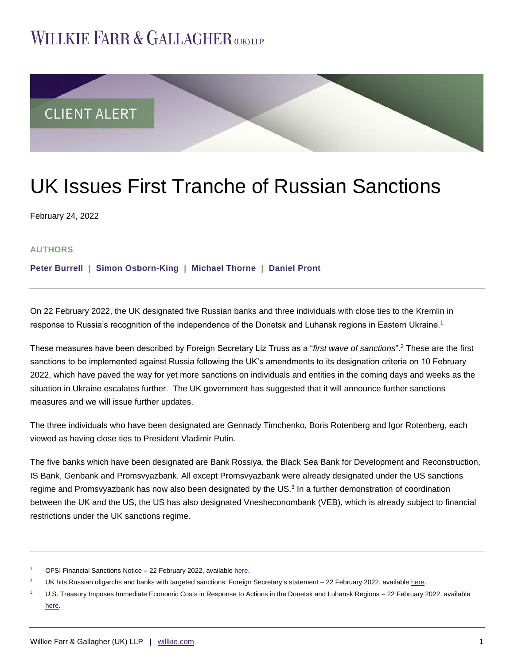## WILLKIE FARR & GALLAGHER **argue**



# UK Issues First Tranche of Russian Sanctions

February 24, 2022

#### **AUTHORS**

**[Peter Burrell](https://www.willkie.com/professionals/b/burrell-peter) | [Simon Osborn-King](https://www.willkie.com/professionals/o/osborn-king-simon) | [Michael Thorne](https://www.willkie.com/professionals/t/thorne-michael) | [Daniel](https://www.willkie.com/professionals/p/pront-daniel) Pront**

On 22 February 2022, the UK designated five Russian banks and three individuals with close ties to the Kremlin in response to Russia's recognition of the independence of the Donetsk and Luhansk regions in Eastern Ukraine.<sup>1</sup>

These measures have been described by Foreign Secretary Liz Truss as a "*first wave of sanctions*".<sup>2</sup> These are the first sanctions to be implemented against Russia following the UK's amendments to its designation criteria on 10 February 2022, which have paved the way for yet more sanctions on individuals and entities in the coming days and weeks as the situation in Ukraine escalates further. The UK government has suggested that it will announce further sanctions measures and we will issue further updates.

The three individuals who have been designated are Gennady Timchenko, Boris Rotenberg and Igor Rotenberg, each viewed as having close ties to President Vladimir Putin.

The five banks which have been designated are Bank Rossiya, the Black Sea Bank for Development and Reconstruction, IS Bank, Genbank and Promsvyazbank. All except Promsvyazbank were already designated under the US sanctions regime and Promsvyazbank has now also been designated by the US.<sup>3</sup> In a further demonstration of coordination between the UK and the US, the US has also designated Vnesheconombank (VEB), which is already subject to financial restrictions under the UK sanctions regime.

<sup>2</sup> UK hits Russian oligarchs and banks with targeted sanctions: Foreign Secretary's statement – 22 February 2022, available [here.](https://www.gov.uk/government/news/uk-hits-russian-oligarchs-and-banks-with-targeted-sanctions-foreign-secretary-statement?utm_medium=email&utm_campaign=govuk-notifications-topic&utm_source=5597b5ce-98a7-46fb-a638-3724941c88b6&utm_content=immediately)

<sup>1</sup> OFSI Financial Sanctions Notice – 22 February 2022, availabl[e here.](https://assets.publishing.service.gov.uk/government/uploads/system/uploads/attachment_data/file/1056386/Notice_Russia_22022022.pdf) 

<sup>&</sup>lt;sup>3</sup> U.S. Treasury Imposes Immediate Economic Costs in Response to Actions in the Donetsk and Luhansk Regions – 22 February 2022, available [here.](https://home.treasury.gov/news/press-releases/jy0602)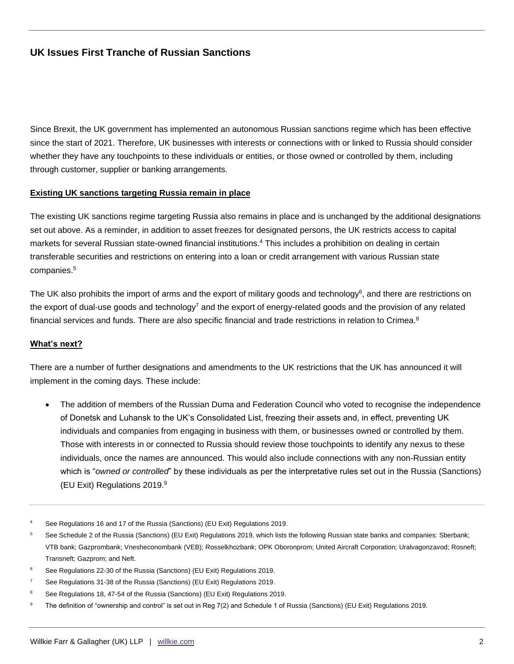## **UK Issues First Tranche of Russian Sanctions**

Since Brexit, the UK government has implemented an autonomous Russian sanctions regime which has been effective since the start of 2021. Therefore, UK businesses with interests or connections with or linked to Russia should consider whether they have any touchpoints to these individuals or entities, or those owned or controlled by them, including through customer, supplier or banking arrangements.

#### **Existing UK sanctions targeting Russia remain in place**

The existing UK sanctions regime targeting Russia also remains in place and is unchanged by the additional designations set out above. As a reminder, in addition to asset freezes for designated persons, the UK restricts access to capital markets for several Russian state-owned financial institutions.<sup>4</sup> This includes a prohibition on dealing in certain transferable securities and restrictions on entering into a loan or credit arrangement with various Russian state companies.<sup>5</sup>

The UK also prohibits the import of arms and the export of military goods and technology<sup>6</sup>, and there are restrictions on the export of dual-use goods and technology<sup>7</sup> and the export of energy-related goods and the provision of any related financial services and funds. There are also specific financial and trade restrictions in relation to Crimea.<sup>8</sup>

#### **What's next?**

There are a number of further designations and amendments to the UK restrictions that the UK has announced it will implement in the coming days. These include:

- The addition of members of the Russian Duma and Federation Council who voted to recognise the independence of Donetsk and Luhansk to the UK's Consolidated List, freezing their assets and, in effect, preventing UK individuals and companies from engaging in business with them, or businesses owned or controlled by them. Those with interests in or connected to Russia should review those touchpoints to identify any nexus to these individuals, once the names are announced. This would also include connections with any non-Russian entity which is "*owned or controlled*" by these individuals as per the interpretative rules set out in the Russia (Sanctions) (EU Exit) Regulations 2019.<sup>9</sup>
- See Regulations 16 and 17 of the Russia (Sanctions) (EU Exit) Regulations 2019.
- <sup>5</sup> See Schedule 2 of the Russia (Sanctions) (EU Exit) Regulations 2019, which lists the following Russian state banks and companies: Sberbank; VTB bank; Gazprombank; Vnesheconombank (VEB); Rosselkhozbank; OPK Oboronprom; United Aircraft Corporation; Uralvagonzavod; Rosneft; Transneft; Gazprom; and Neft.
- <sup>6</sup> See Regulations 22-30 of the Russia (Sanctions) (EU Exit) Regulations 2019.
- <sup>7</sup> See Regulations 31-38 of the Russia (Sanctions) (EU Exit) Regulations 2019.
- See Regulations 18, 47-54 of the Russia (Sanctions) (EU Exit) Regulations 2019.
- <sup>9</sup> The definition of "ownership and control" is set out in Reg 7(2) and Schedule 1 of Russia (Sanctions) (EU Exit) Regulations 2019.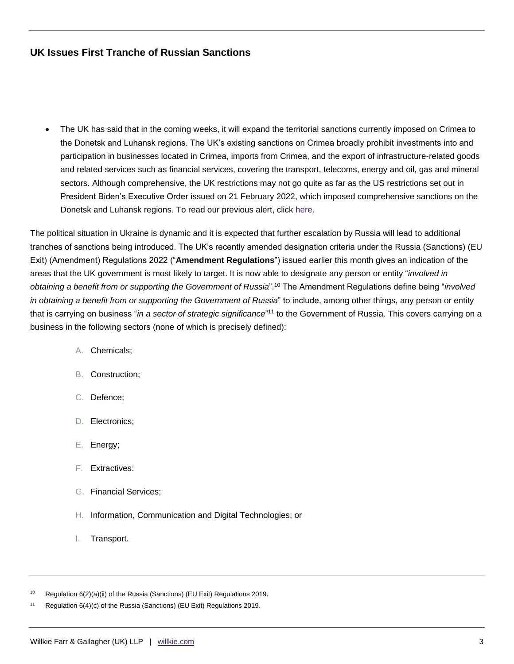## **UK Issues First Tranche of Russian Sanctions**

 The UK has said that in the coming weeks, it will expand the territorial sanctions currently imposed on Crimea to the Donetsk and Luhansk regions. The UK's existing sanctions on Crimea broadly prohibit investments into and participation in businesses located in Crimea, imports from Crimea, and the export of infrastructure-related goods and related services such as financial services, covering the transport, telecoms, energy and oil, gas and mineral sectors. Although comprehensive, the UK restrictions may not go quite as far as the US restrictions set out in President Biden's Executive Order issued on 21 February 2022, which imposed comprehensive sanctions on the Donetsk and Luhansk regions. To read our previous alert, click [here.](https://www.willkie.com/-/media/files/publications/2022/infirstresponsetorussianinterventioninukrainepresi.pdf)

The political situation in Ukraine is dynamic and it is expected that further escalation by Russia will lead to additional tranches of sanctions being introduced. The UK's recently amended designation criteria under the Russia (Sanctions) (EU Exit) (Amendment) Regulations 2022 ("**Amendment Regulations**") issued earlier this month gives an indication of the areas that the UK government is most likely to target. It is now able to designate any person or entity "*involved in obtaining a benefit from or supporting the Government of Russia*". <sup>10</sup> The Amendment Regulations define being "*involved in obtaining a benefit from or supporting the Government of Russia*" to include, among other things, any person or entity that is carrying on business "*in a sector of strategic significance*"<sup>11</sup> to the Government of Russia. This covers carrying on a business in the following sectors (none of which is precisely defined):

- A. Chemicals;
- B. Construction;
- C. Defence;
- D. Electronics:
- E. Energy;
- F. Extractives:
- G. Financial Services;
- H. Information, Communication and Digital Technologies; or
- I. Transport.

<sup>&</sup>lt;sup>10</sup> Regulation  $6(2)(a)(ii)$  of the Russia (Sanctions) (EU Exit) Regulations 2019.

<sup>&</sup>lt;sup>11</sup> Regulation  $6(4)(c)$  of the Russia (Sanctions) (EU Exit) Regulations 2019.